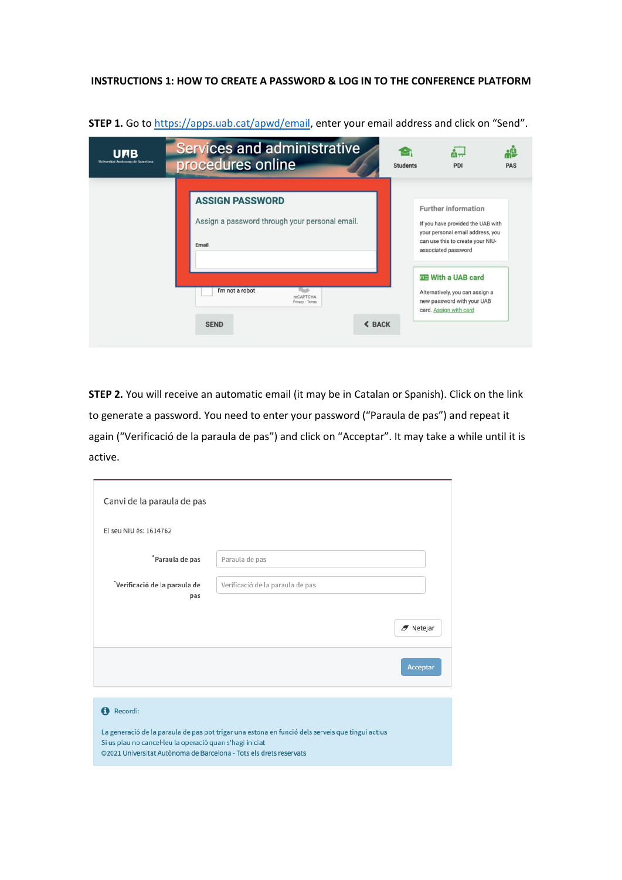## **INSTRUCTIONS 1: HOW TO CREATE A PASSWORD & LOG IN TO THE CONFERENCE PLATFORM**

| <b>UNB</b><br>Universitat Autònoma de Barcelona | <b>Services and administrative</b><br>procedures online                                   | <b>Students</b> | PDI                                                                                                                                                     | <b>PAS</b> |
|-------------------------------------------------|-------------------------------------------------------------------------------------------|-----------------|---------------------------------------------------------------------------------------------------------------------------------------------------------|------------|
|                                                 | <b>ASSIGN PASSWORD</b><br>Assign a password through your personal email.<br>Email         |                 | Further information<br>If you have provided the UAB with<br>your personal email address, you<br>can use this to create your NIU-<br>associated password |            |
|                                                 | I'm not a robot<br><b>reCAPTCHA</b><br>Privacy - Terms<br><b>&lt; BACK</b><br><b>SEND</b> |                 | <b>QE With a UAB card</b><br>Alternatively, you can assign a<br>new password with your UAB<br>card. Assign with card                                    |            |

**STEP 1.** Go t[o https://apps.uab.cat/apwd/email,](https://apps.uab.cat/apwd/email) enter your email address and click on "Send".

**STEP 2.** You will receive an automatic email (it may be in Catalan or Spanish). Click on the link to generate a password. You need to enter your password ("Paraula de pas") and repeat it again ("Verificació de la paraula de pas") and click on "Acceptar". It may take a while until it is active.

| Canvi de la paraula de pas                                                                                                     |                                                                                                  |          |
|--------------------------------------------------------------------------------------------------------------------------------|--------------------------------------------------------------------------------------------------|----------|
| El seu NIU és: 1614762                                                                                                         |                                                                                                  |          |
| Paraula de pas                                                                                                                 | Paraula de pas                                                                                   |          |
| *Verificació de la paraula de<br>pas                                                                                           | Verificació de la paraula de pas                                                                 |          |
|                                                                                                                                |                                                                                                  | Netejar  |
|                                                                                                                                |                                                                                                  | Acceptar |
|                                                                                                                                |                                                                                                  |          |
| Recordi:<br>A                                                                                                                  |                                                                                                  |          |
| Si us plau no cancel·leu la operació quan s'hagi iniciat<br>©2021 Universitat Autònoma de Barcelona - Tots els drets reservats | La generació de la paraula de pas pot trigar una estona en funció dels serveis que tingui actius |          |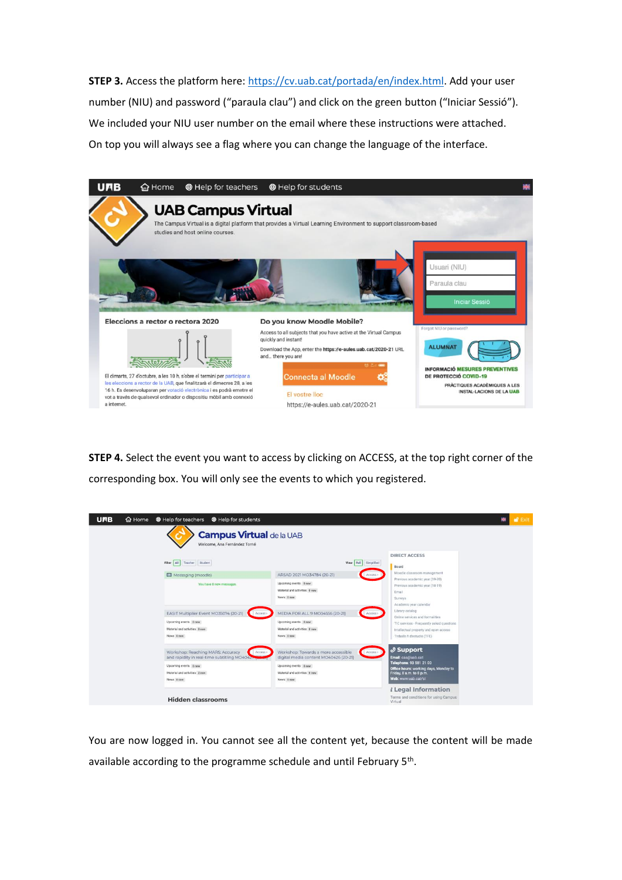**STEP 3.** Access the platform here: [https://cv.uab.cat/portada/en/index.html.](https://cv.uab.cat/portada/en/index.html) Add your user number (NIU) and password ("paraula clau") and click on the green button ("Iniciar Sessió"). We included your NIU user number on the email where these instructions were attached. On top you will always see a flag where you can change the language of the interface.

| <b>UAB</b>  | <b>命</b> Home                     | <sup>®</sup> Help for teachers                                                                                                                                                                                                                                                                     | <b>@</b> Help for students                                                                                                                                                                                                                    |                                                                 |
|-------------|-----------------------------------|----------------------------------------------------------------------------------------------------------------------------------------------------------------------------------------------------------------------------------------------------------------------------------------------------|-----------------------------------------------------------------------------------------------------------------------------------------------------------------------------------------------------------------------------------------------|-----------------------------------------------------------------|
|             |                                   | <b>UAB Campus Virtual</b><br>studies and host online courses.                                                                                                                                                                                                                                      | The Campus Virtual is a digital platform that provides a Virtual Learning Environment to support classroom-based                                                                                                                              |                                                                 |
|             |                                   |                                                                                                                                                                                                                                                                                                    | Usuari (NIU)<br>Paraula clau<br><b>Iniciar Sessió</b>                                                                                                                                                                                         |                                                                 |
|             | Eleccions a rector o rectora 2020 |                                                                                                                                                                                                                                                                                                    | Do you know Moodle Mobile?<br>Forgot NIU or password?                                                                                                                                                                                         |                                                                 |
|             |                                   |                                                                                                                                                                                                                                                                                                    | Access to all subjects that you have active at the Virtual Campus<br>quickly and instant!<br><b>ALUMNAT</b><br>Download the App, enter the https://e-aules.uab.cat/2020-21 URL<br>and there you are!<br><b>INFORMACIÓ MESURES PREVENTIVES</b> |                                                                 |
| a internet. |                                   | El dimarts, 27 d'octubre, a les 10 h, s'obre el termini per participar a<br>les eleccions a rector de la UAB, que finalitzarà el dimecres 28, a les<br>16 h. Es desenvoluparan per votació electrònica i es podrà emetre el<br>vot a través de qualsevol ordinador o dispositiu mòbil amb connexió | <b>Connecta al Moodle</b><br>DE PROTECCIÓ COVID-19<br>El vostre lloc<br>https://e-aules.uab.cat/2020-21                                                                                                                                       | PRÀCTIQUES ACADÈMIQUES A LES<br><b>INSTAL-LACIONS DE LA UAB</b> |

**STEP 4.** Select the event you want to access by clicking on ACCESS, at the top right corner of the corresponding box. You will only see the events to which you registered.

| <b>UPB</b>                                                      | △ Home<br>■ Help for teachers<br><sup>®</sup> Help for students                                                                                                      |                                                                                                                                                                |                                                                                                                                                                         | <b>af</b> Exit<br>寮 |  |  |
|-----------------------------------------------------------------|----------------------------------------------------------------------------------------------------------------------------------------------------------------------|----------------------------------------------------------------------------------------------------------------------------------------------------------------|-------------------------------------------------------------------------------------------------------------------------------------------------------------------------|---------------------|--|--|
| <b>Campus Virtual de la UAB</b><br>Welcome, Ana Fernández Torné |                                                                                                                                                                      |                                                                                                                                                                |                                                                                                                                                                         |                     |  |  |
|                                                                 | Filter All Teacher Student                                                                                                                                           | View Full Simplified                                                                                                                                           | <b>DIRECT ACCESS</b><br>Board                                                                                                                                           |                     |  |  |
|                                                                 | Messaging (moodle)<br>You have 0 new messages.                                                                                                                       | ARSAD 2021 MO34784 (20-21)<br>Access ><br>Upcoming events 0 new<br>Material and activities 0 new<br>News 0 new                                                 | Moodle classroom management.<br>Previous academic year (19-20)<br>Previous academic year (18-19)<br>Email<br>Surveys<br>Academic year calendar                          |                     |  |  |
|                                                                 | EASIT Multiplier Event MO35074 (20-21)<br>Access ><br>Upcoming events 0 new<br>Material and activities 0 new<br>News 0 new                                           | MEDIA FOR ALL 9 MO34556 (20-21)<br>Access ><br>Upcoming events 0 new<br>Material and activities 0 new<br>News Dnew                                             | Library catalog<br>Online services and formalities<br>TIC services - Frequently asked questions<br>Intellectual property and open access<br>Treballs fi d'estudis (TFE) |                     |  |  |
|                                                                 | Workshop: Reaching MARS: Accuracy<br>Access ><br>and rapidity in real-time subtitling MO40427<br>Upcoming events 0 new<br>Material and activities 2 new<br>News Onew | Workshop: Towards a more accessible<br>Access<br>digital media content MO40426 (20-21)<br>Upcoming events @ new<br>Material and activities 0 new<br>News 0 new | $\mathcal{S}$ Support<br>Email: cas@uab.cat<br>Telephone: 93 581 21 00<br>Office hours: working days, Monday to<br>Friday, 8 a.m. to 8 p.m.<br>Web: www.uab.cat/si      |                     |  |  |
|                                                                 | <b>Hidden classrooms</b>                                                                                                                                             |                                                                                                                                                                | <i>i</i> Legal Information<br>Terms and conditions for using Campus<br>Virtual                                                                                          |                     |  |  |

You are now logged in. You cannot see all the content yet, because the content will be made available according to the programme schedule and until February 5<sup>th</sup>.